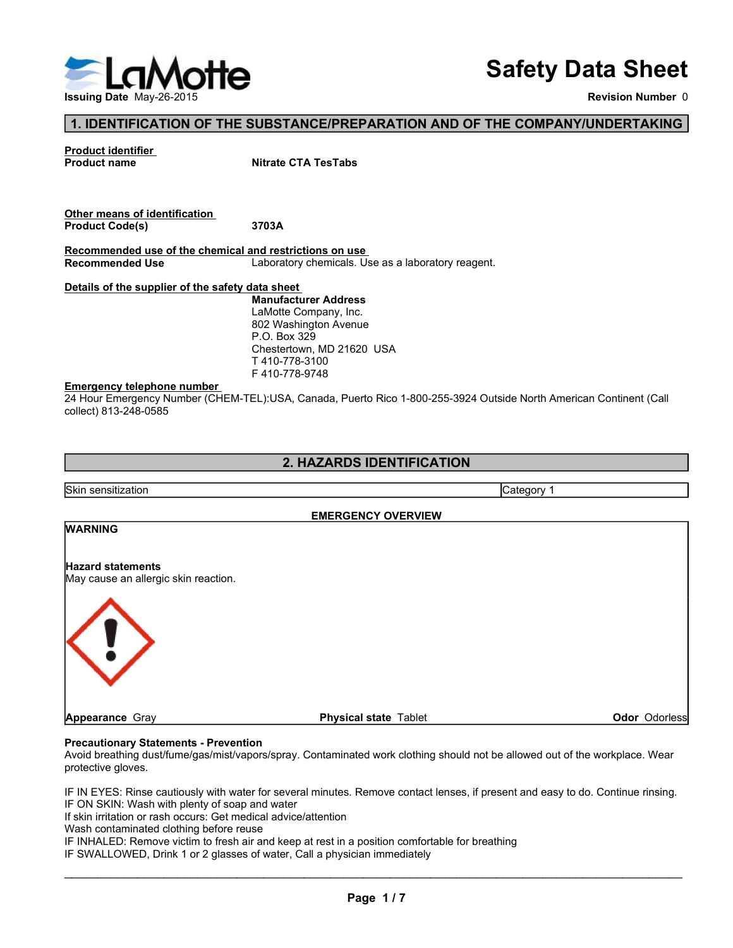

# Safety Data Sheet

Revision Number 0

## 1. IDENTIFICATION OF THE SUBSTANCE/PREPARATION AND OF THE COMPANY/UNDERTAKING

# **Product identifier<br>Product name**

| Other means of identification |       |  |
|-------------------------------|-------|--|
| Product Code(s)               | 3703A |  |
|                               |       |  |

### Details of the supplier of the safety data sheet

## Emergency telephone number

## 2. HAZARDS IDENTIFICATION

## EMERGENCY OVERVIEW

| Other means of identification                                                                                                                                |                                                                                                                                                                                                                                                                                                                  |                      |
|--------------------------------------------------------------------------------------------------------------------------------------------------------------|------------------------------------------------------------------------------------------------------------------------------------------------------------------------------------------------------------------------------------------------------------------------------------------------------------------|----------------------|
| <b>Product Code(s)</b>                                                                                                                                       | 3703A                                                                                                                                                                                                                                                                                                            |                      |
| Recommended use of the chemical and restrictions on use                                                                                                      |                                                                                                                                                                                                                                                                                                                  |                      |
| <b>Recommended Use</b>                                                                                                                                       | Laboratory chemicals. Use as a laboratory reagent.                                                                                                                                                                                                                                                               |                      |
| Details of the supplier of the safety data sheet                                                                                                             | <b>Manufacturer Address</b><br>LaMotte Company, Inc.<br>802 Washington Avenue<br>P.O. Box 329<br>Chestertown, MD 21620 USA                                                                                                                                                                                       |                      |
|                                                                                                                                                              | T410-778-3100<br>F410-778-9748                                                                                                                                                                                                                                                                                   |                      |
| <b>Emergency telephone number</b><br>collect) 813-248-0585                                                                                                   | 24 Hour Emergency Number (CHEM-TEL):USA, Canada, Puerto Rico 1-800-255-3924 Outside North American Continent (Call                                                                                                                                                                                               |                      |
|                                                                                                                                                              | 2. HAZARDS IDENTIFICATION                                                                                                                                                                                                                                                                                        |                      |
| Skin sensitization                                                                                                                                           | Category 1                                                                                                                                                                                                                                                                                                       |                      |
|                                                                                                                                                              |                                                                                                                                                                                                                                                                                                                  |                      |
| <b>WARNING</b>                                                                                                                                               | <b>EMERGENCY OVERVIEW</b>                                                                                                                                                                                                                                                                                        |                      |
|                                                                                                                                                              |                                                                                                                                                                                                                                                                                                                  |                      |
| <b>Appearance Gray</b>                                                                                                                                       | <b>Physical state Tablet</b>                                                                                                                                                                                                                                                                                     | <b>Odor</b> Odorless |
| <b>Precautionary Statements - Prevention</b><br>protective gloves.                                                                                           | Avoid breathing dust/fume/gas/mist/vapors/spray. Contaminated work clothing should not be allowed out of the workplace. Wear                                                                                                                                                                                     |                      |
| IF ON SKIN: Wash with plenty of soap and water<br>If skin irritation or rash occurs: Get medical advice/attention<br>Wash contaminated clothing before reuse | IF IN EYES: Rinse cautiously with water for several minutes. Remove contact lenses, if present and easy to do. Continue rinsing.<br>IF INHALED: Remove victim to fresh air and keep at rest in a position comfortable for breathing<br>IF SWALLOWED, Drink 1 or 2 glasses of water, Call a physician immediately |                      |
|                                                                                                                                                              | Page 1/7                                                                                                                                                                                                                                                                                                         |                      |
|                                                                                                                                                              |                                                                                                                                                                                                                                                                                                                  |                      |

## Precautionary Statements - Prevention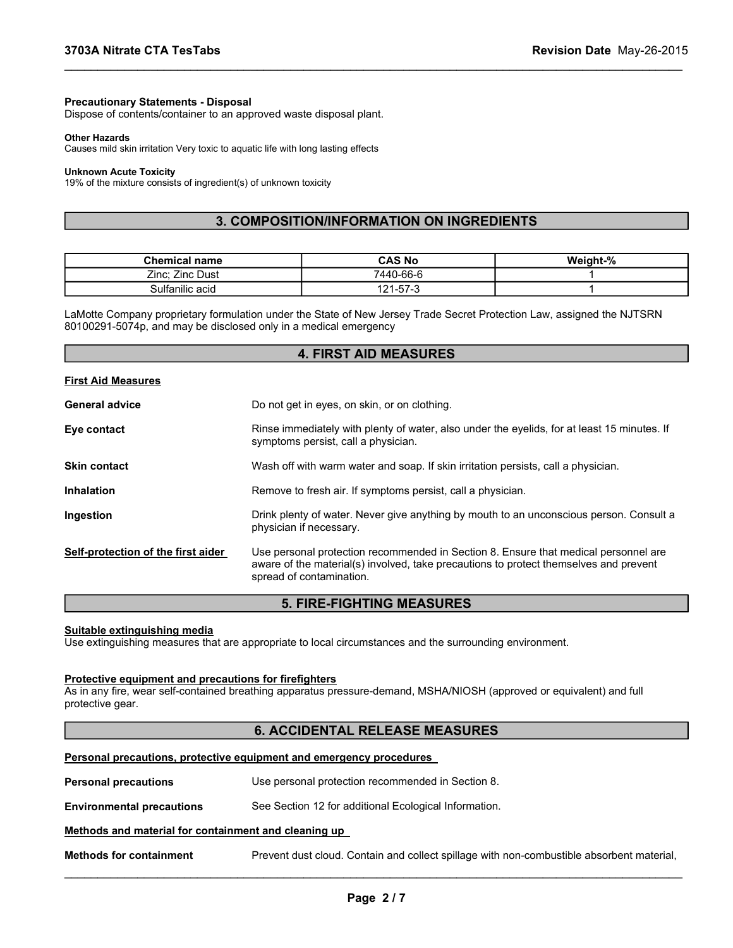### Precautionary Statements - Disposal

Dispose of contents/container to an approved waste disposal plant. 3703A Nitrate CTA TesTabs Revision Date May-26-2015

#### Other Hazards

#### Unknown Acute Toxicity

## 3. COMPOSITION/INFORMATION ON INGREDIENTS

| 3703A Nitrate CTA TesTabs                                                                                        |                                           | Revision Date May-26-2015 |
|------------------------------------------------------------------------------------------------------------------|-------------------------------------------|---------------------------|
| <b>Precautionary Statements - Disposal</b><br>Dispose of contents/container to an approved waste disposal plant. |                                           |                           |
| <b>Other Hazards</b><br>Causes mild skin irritation Very toxic to aquatic life with long lasting effects         |                                           |                           |
| <b>Unknown Acute Toxicity</b><br>19% of the mixture consists of ingredient(s) of unknown toxicity                |                                           |                           |
|                                                                                                                  |                                           |                           |
|                                                                                                                  | 3. COMPOSITION/INFORMATION ON INGREDIENTS |                           |
|                                                                                                                  |                                           |                           |
| <b>Chemical name</b><br>Zinc; Zinc Dust                                                                          | <b>CAS No</b><br>7440-66-6                | Weight-%                  |

### 4. FIRST AID MEASURES

## First Aid Measures

| <b>General advice</b>              | Do not get in eyes, on skin, or on clothing.                                                                                                                                                             |
|------------------------------------|----------------------------------------------------------------------------------------------------------------------------------------------------------------------------------------------------------|
| Eye contact                        | Rinse immediately with plenty of water, also under the eyelids, for at least 15 minutes. If<br>symptoms persist, call a physician.                                                                       |
| <b>Skin contact</b>                | Wash off with warm water and soap. If skin irritation persists, call a physician.                                                                                                                        |
| <b>Inhalation</b>                  | Remove to fresh air. If symptoms persist, call a physician.                                                                                                                                              |
| Ingestion                          | Drink plenty of water. Never give anything by mouth to an unconscious person. Consult a<br>physician if necessary.                                                                                       |
| Self-protection of the first aider | Use personal protection recommended in Section 8. Ensure that medical personnel are<br>aware of the material(s) involved, take precautions to protect themselves and prevent<br>spread of contamination. |
|                                    |                                                                                                                                                                                                          |

## 5. FIRE-FIGHTING MEASURES

#### Suitable extinguishing media

Use extinguishing measures that are appropriate to local circumstances and the surrounding environment.

#### Protective equipment and precautions for firefighters

As in any fire, wear self-contained breathing apparatus pressure-demand, MSHA/NIOSH (approved or equivalent) and full protective gear. 5. FIRE-FIGHTING MEASURES<br>
Suitable extinguishing media<br>
Use extinguishing measures that are appropriate to local circumstances and the surrounding environment.<br>
Protective equipment and precautions for firefighters<br>
prote

## 6. ACCIDENTAL RELEASE MEASURES

#### Personal precautions, protective equipment and emergency procedures

Personal precautions Use personal protection recommended in Section 8.

Environmental precautions See Section 12 for additional Ecological Information.

## Methods and material for containment and cleaning up

Methods for containment **Prevent dust cloud. Contain and collect spillage with non-combustible absorbent material,**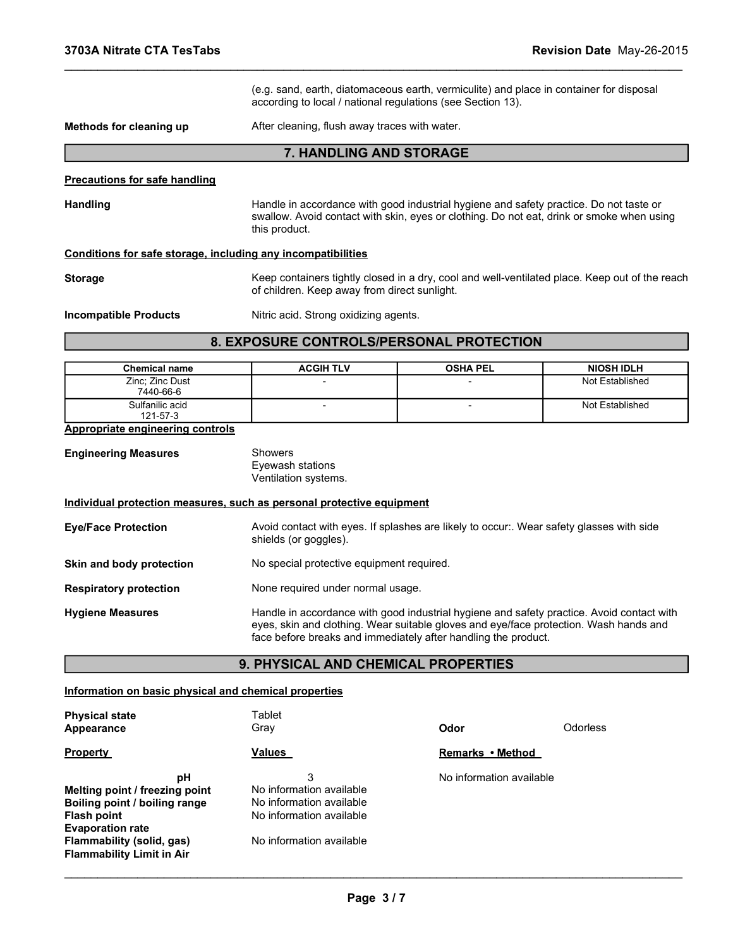|                                                              | (e.g. sand, earth, diatomaceous earth, vermiculite) and place in container for disposal<br>according to local / national regulations (see Section 13).                                               |                          |                   |  |
|--------------------------------------------------------------|------------------------------------------------------------------------------------------------------------------------------------------------------------------------------------------------------|--------------------------|-------------------|--|
| Methods for cleaning up                                      | After cleaning, flush away traces with water.                                                                                                                                                        |                          |                   |  |
|                                                              | 7. HANDLING AND STORAGE                                                                                                                                                                              |                          |                   |  |
| <b>Precautions for safe handling</b>                         |                                                                                                                                                                                                      |                          |                   |  |
| <b>Handling</b>                                              | Handle in accordance with good industrial hygiene and safety practice. Do not taste or<br>swallow. Avoid contact with skin, eyes or clothing. Do not eat, drink or smoke when using<br>this product. |                          |                   |  |
| Conditions for safe storage, including any incompatibilities |                                                                                                                                                                                                      |                          |                   |  |
| <b>Storage</b>                                               | Keep containers tightly closed in a dry, cool and well-ventilated place. Keep out of the reach<br>of children. Keep away from direct sunlight.                                                       |                          |                   |  |
| <b>Incompatible Products</b>                                 | Nitric acid. Strong oxidizing agents.                                                                                                                                                                |                          |                   |  |
|                                                              | 8. EXPOSURE CONTROLS/PERSONAL PROTECTION                                                                                                                                                             |                          |                   |  |
| <b>Chemical name</b>                                         | <b>ACGIH TLV</b>                                                                                                                                                                                     | <b>OSHA PEL</b>          | <b>NIOSH IDLH</b> |  |
| Zinc; Zinc Dust<br>7440-66-6                                 |                                                                                                                                                                                                      |                          | Not Established   |  |
| Sulfanilic acid<br>121-57-3                                  |                                                                                                                                                                                                      | $\overline{\phantom{a}}$ | Not Established   |  |
| Appropriate engineering controls                             |                                                                                                                                                                                                      |                          |                   |  |
| <b>Engineering Measures</b>                                  | Showers<br>Eyewash stations<br>Ventilation systems.                                                                                                                                                  |                          |                   |  |

## 8. EXPOSURE CONTROLS/PERSONAL PROTECTION

| <b>Chemical name</b>         | <b>ACGIH TLV</b> | <b>OSHA PEL</b>          | <b>NIOSH IDLH</b> |
|------------------------------|------------------|--------------------------|-------------------|
| Zinc; Zinc Dust<br>7440-66-6 |                  | $\overline{\phantom{0}}$ | Not Established   |
| Sulfanilic acid<br>121-57-3  |                  | $\overline{\phantom{0}}$ | Not Established   |

| <b>Engineering Measures</b> | Showers<br>Eyewash stations<br>Ventilation systems. |                                                                       |  |
|-----------------------------|-----------------------------------------------------|-----------------------------------------------------------------------|--|
|                             |                                                     | Individual protection measures, such as personal protective equipment |  |

| <b>Eye/Face Protection</b>    | Avoid contact with eyes. If splashes are likely to occur:. Wear safety glasses with side<br>shields (or goggles).                                                                                                                                    |
|-------------------------------|------------------------------------------------------------------------------------------------------------------------------------------------------------------------------------------------------------------------------------------------------|
| Skin and body protection      | No special protective equipment required.                                                                                                                                                                                                            |
| <b>Respiratory protection</b> | None required under normal usage.                                                                                                                                                                                                                    |
| <b>Hygiene Measures</b>       | Handle in accordance with good industrial hygiene and safety practice. Avoid contact with<br>eyes, skin and clothing. Wear suitable gloves and eye/face protection. Wash hands and<br>face before breaks and immediately after handling the product. |

## 9. PHYSICAL AND CHEMICAL PROPERTIES

## Information on basic physical and chemical properties

| <b>Respiratory protection</b>                                                                                                                                                           | None required under normal usage.                                                                                                                                                                                                                    |                          |          |  |  |
|-----------------------------------------------------------------------------------------------------------------------------------------------------------------------------------------|------------------------------------------------------------------------------------------------------------------------------------------------------------------------------------------------------------------------------------------------------|--------------------------|----------|--|--|
| <b>Hygiene Measures</b>                                                                                                                                                                 | Handle in accordance with good industrial hygiene and safety practice. Avoid contact with<br>eyes, skin and clothing. Wear suitable gloves and eye/face protection. Wash hands and<br>face before breaks and immediately after handling the product. |                          |          |  |  |
|                                                                                                                                                                                         | 9. PHYSICAL AND CHEMICAL PROPERTIES                                                                                                                                                                                                                  |                          |          |  |  |
| Information on basic physical and chemical properties                                                                                                                                   |                                                                                                                                                                                                                                                      |                          |          |  |  |
| <b>Physical state</b>                                                                                                                                                                   | Tablet                                                                                                                                                                                                                                               |                          |          |  |  |
| Appearance                                                                                                                                                                              | Gray                                                                                                                                                                                                                                                 | Odor                     | Odorless |  |  |
| <b>Property</b>                                                                                                                                                                         | <b>Values</b>                                                                                                                                                                                                                                        | Remarks • Method         |          |  |  |
| pH<br>Melting point / freezing point<br>Boiling point / boiling range<br><b>Flash point</b><br><b>Evaporation rate</b><br>Flammability (solid, gas)<br><b>Flammability Limit in Air</b> | 3<br>No information available<br>No information available<br>No information available<br>No information available                                                                                                                                    | No information available |          |  |  |
|                                                                                                                                                                                         | Page 3/7                                                                                                                                                                                                                                             |                          |          |  |  |
|                                                                                                                                                                                         |                                                                                                                                                                                                                                                      |                          |          |  |  |
|                                                                                                                                                                                         |                                                                                                                                                                                                                                                      |                          |          |  |  |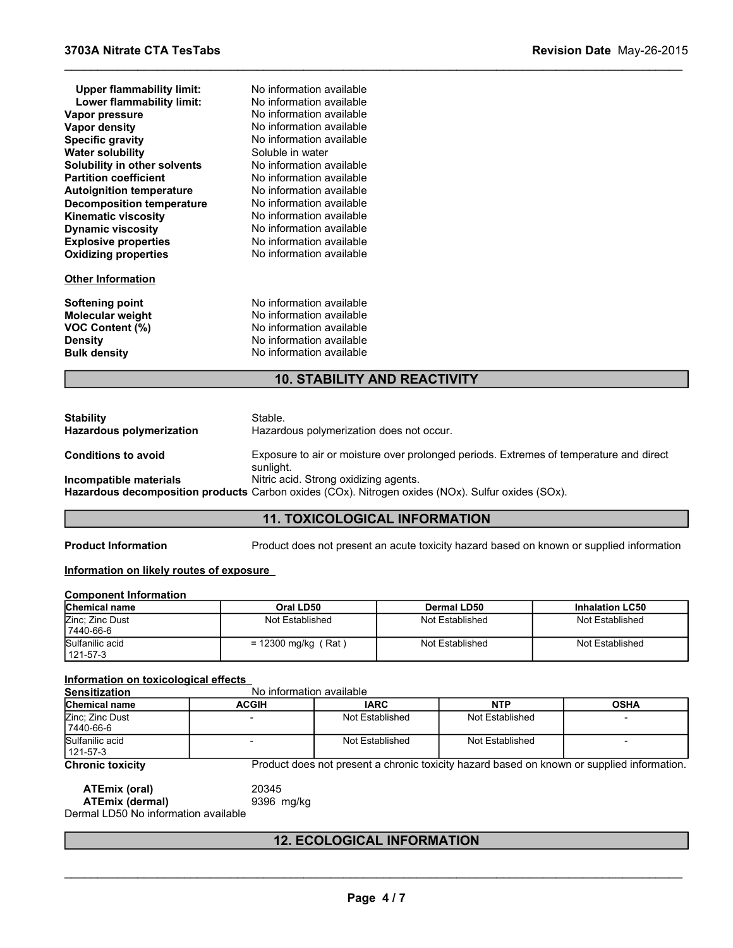| <b>Upper flammability limit:</b><br>Lower flammability limit:<br>Vapor pressure<br>Vapor density<br><b>Specific gravity</b><br><b>Water solubility</b><br>Solubility in other solvents<br><b>Partition coefficient</b><br><b>Autoignition temperature</b><br>Decomposition temperature<br><b>Kinematic viscosity</b><br><b>Dynamic viscosity</b><br><b>Explosive properties</b><br><b>Oxidizing properties</b><br><b>Other Information</b> | No information available<br>No information available<br>No information available<br>No information available<br>No information available<br>Soluble in water<br>No information available<br>No information available<br>No information available<br>No information available<br>No information available<br>No information available<br>No information available<br>No information available |
|--------------------------------------------------------------------------------------------------------------------------------------------------------------------------------------------------------------------------------------------------------------------------------------------------------------------------------------------------------------------------------------------------------------------------------------------|----------------------------------------------------------------------------------------------------------------------------------------------------------------------------------------------------------------------------------------------------------------------------------------------------------------------------------------------------------------------------------------------|
| Softening point                                                                                                                                                                                                                                                                                                                                                                                                                            | No information available                                                                                                                                                                                                                                                                                                                                                                     |
| <b>Molecular weight</b>                                                                                                                                                                                                                                                                                                                                                                                                                    | No information available                                                                                                                                                                                                                                                                                                                                                                     |
| <b>VOC Content (%)</b>                                                                                                                                                                                                                                                                                                                                                                                                                     | No information available                                                                                                                                                                                                                                                                                                                                                                     |
| <b>Density</b>                                                                                                                                                                                                                                                                                                                                                                                                                             | No information available                                                                                                                                                                                                                                                                                                                                                                     |
| <b>Bulk density</b>                                                                                                                                                                                                                                                                                                                                                                                                                        | No information available                                                                                                                                                                                                                                                                                                                                                                     |

## 10. STABILITY AND REACTIVITY

| <b>Softening point</b><br>Molecular weight<br>VOC Content (%)                                                               | No information available<br>No information available<br>No information available |                                                      |                                                                                        |                                                                                            |  |  |
|-----------------------------------------------------------------------------------------------------------------------------|----------------------------------------------------------------------------------|------------------------------------------------------|----------------------------------------------------------------------------------------|--------------------------------------------------------------------------------------------|--|--|
| <b>Density</b><br><b>Bulk density</b>                                                                                       |                                                                                  | No information available<br>No information available |                                                                                        |                                                                                            |  |  |
|                                                                                                                             |                                                                                  | <b>10. STABILITY AND REACTIVITY</b>                  |                                                                                        |                                                                                            |  |  |
| <b>Stability</b><br><b>Hazardous polymerization</b>                                                                         | Stable.                                                                          | Hazardous polymerization does not occur.             |                                                                                        |                                                                                            |  |  |
| <b>Conditions to avoid</b>                                                                                                  | sunlight.                                                                        |                                                      | Exposure to air or moisture over prolonged periods. Extremes of temperature and direct |                                                                                            |  |  |
| Incompatible materials<br>Hazardous decomposition products Carbon oxides (COx). Nitrogen oxides (NOx). Sulfur oxides (SOx). |                                                                                  | Nitric acid. Strong oxidizing agents.                |                                                                                        |                                                                                            |  |  |
|                                                                                                                             |                                                                                  | <b>11. TOXICOLOGICAL INFORMATION</b>                 |                                                                                        |                                                                                            |  |  |
| <b>Product Information</b><br>Information on likely routes of exposure                                                      |                                                                                  |                                                      |                                                                                        | Product does not present an acute toxicity hazard based on known or supplied information   |  |  |
| <b>Component Information</b>                                                                                                |                                                                                  |                                                      |                                                                                        |                                                                                            |  |  |
| Chemical name                                                                                                               | Oral LD50                                                                        |                                                      | <b>Dermal LD50</b>                                                                     | <b>Inhalation LC50</b>                                                                     |  |  |
| Zinc; Zinc Dust<br>7440-66-6                                                                                                | Not Established                                                                  |                                                      | Not Established                                                                        | Not Established                                                                            |  |  |
| Sulfanilic acid<br>121-57-3                                                                                                 | $= 12300$ mg/kg (Rat)                                                            |                                                      | Not Established                                                                        | Not Established                                                                            |  |  |
| Information on toxicological effects                                                                                        |                                                                                  |                                                      |                                                                                        |                                                                                            |  |  |
| <b>Sensitization</b><br>Chemical name                                                                                       | No information available<br><b>ACGIH</b>                                         | <b>IARC</b>                                          | <b>NTP</b>                                                                             | <b>OSHA</b>                                                                                |  |  |
| Zinc; Zinc Dust<br>7440-66-6                                                                                                |                                                                                  | Not Established                                      | Not Established                                                                        |                                                                                            |  |  |
| Sulfanilic acid<br>121-57-3                                                                                                 |                                                                                  | Not Established                                      | Not Established                                                                        |                                                                                            |  |  |
| <b>Chronic toxicity</b>                                                                                                     |                                                                                  |                                                      |                                                                                        | Product does not present a chronic toxicity hazard based on known or supplied information. |  |  |
| <b>ATEmix (oral)</b><br><b>ATEmix (dermal)</b><br>Dermal LD50 No information available                                      | 20345<br>9396 mg/kg                                                              |                                                      |                                                                                        |                                                                                            |  |  |

## 11. TOXICOLOGICAL INFORMATION

\_\_\_\_\_\_\_\_\_\_\_\_\_\_\_\_\_\_\_\_\_\_\_\_\_\_\_\_\_\_\_\_\_\_\_\_\_\_\_\_\_\_\_\_\_\_\_\_\_\_\_\_\_\_\_\_\_\_\_\_\_\_\_\_\_\_\_\_\_\_\_\_\_\_\_\_\_\_\_\_\_\_\_\_\_\_\_\_\_\_\_\_\_

## Information on likely routes of exposure

## Component Information

| <b>Chemical name</b>         | Oral LD50             | Dermal LD50     | <b>Inhalation LC50</b> |
|------------------------------|-----------------------|-----------------|------------------------|
| Zinc: Zinc Dust<br>7440-66-6 | Not Established       | Not Established | Not Established        |
| Sulfanilic acid<br>121-57-3  | (Rat<br>= 12300 mg/kg | Not Established | Not Established        |

| <b>Chemical name</b>                                                                   | Oral LD50                                |                                   | <b>Dermal LD50</b> | <b>Inhalation LC50</b>                                                                     |
|----------------------------------------------------------------------------------------|------------------------------------------|-----------------------------------|--------------------|--------------------------------------------------------------------------------------------|
| Zinc; Zinc Dust<br>7440-66-6                                                           | Not Established                          |                                   | Not Established    | Not Established                                                                            |
| Sulfanilic acid<br>121-57-3                                                            | $= 12300$ mg/kg (Rat)                    |                                   | Not Established    | Not Established                                                                            |
| Information on toxicological effects                                                   |                                          |                                   |                    |                                                                                            |
| <b>Sensitization</b><br>Chemical name                                                  | No information available<br><b>ACGIH</b> | <b>IARC</b>                       | <b>NTP</b>         | <b>OSHA</b>                                                                                |
| Zinc; Zinc Dust<br>7440-66-6                                                           |                                          | Not Established                   | Not Established    |                                                                                            |
| Sulfanilic acid<br>121-57-3                                                            | $\overline{\phantom{0}}$                 | Not Established                   | Not Established    | $\overline{\phantom{a}}$                                                                   |
| <b>Chronic toxicity</b>                                                                |                                          |                                   |                    | Product does not present a chronic toxicity hazard based on known or supplied information. |
| <b>ATEmix (oral)</b><br><b>ATEmix (dermal)</b><br>Dermal LD50 No information available | 20345<br>9396 mg/kg                      |                                   |                    |                                                                                            |
|                                                                                        |                                          | <b>12. ECOLOGICAL INFORMATION</b> |                    |                                                                                            |
|                                                                                        |                                          | Page 4/7                          |                    |                                                                                            |

## 12. ECOLOGICAL INFORMATION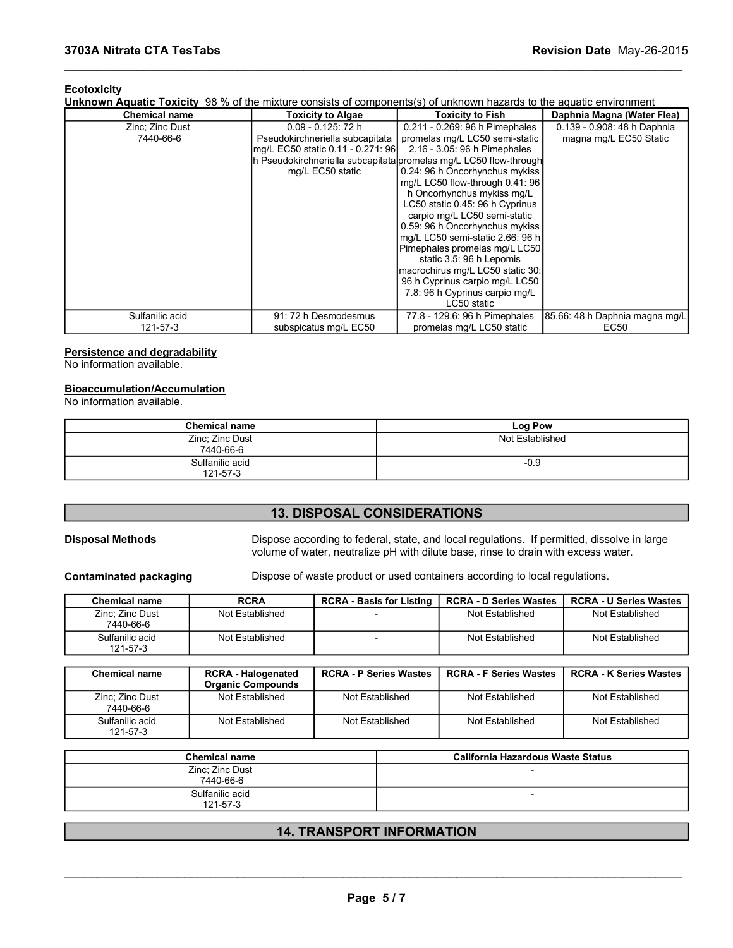### **Ecotoxicity**

| 3703A Nitrate CTA TesTabs                                                                                                                    |                                                                                                                                                                                     |                                                                                                                                                                                                                                                                                        | Revision Date May-26-2015                             |
|----------------------------------------------------------------------------------------------------------------------------------------------|-------------------------------------------------------------------------------------------------------------------------------------------------------------------------------------|----------------------------------------------------------------------------------------------------------------------------------------------------------------------------------------------------------------------------------------------------------------------------------------|-------------------------------------------------------|
| <b>Ecotoxicity</b>                                                                                                                           |                                                                                                                                                                                     |                                                                                                                                                                                                                                                                                        |                                                       |
| Unknown Aquatic Toxicity 98 % of the mixture consists of components(s) of unknown hazards to the aquatic environment<br><b>Chemical name</b> | <b>Toxicity to Algae</b>                                                                                                                                                            | <b>Toxicity to Fish</b>                                                                                                                                                                                                                                                                | Daphnia Magna (Water Flea)                            |
| Zinc; Zinc Dust<br>7440-66-6                                                                                                                 | 0.09 - 0.125: 72 h<br>Pseudokirchneriella subcapitata<br>mg/L EC50 static 0.11 - 0.271: 96<br>h Pseudokirchneriella subcapitata promelas mg/L LC50 flow-through<br>mg/L EC50 static | 0.211 - 0.269: 96 h Pimephales<br>promelas mg/L LC50 semi-static<br>2.16 - 3.05: 96 h Pimephales<br>0.24: 96 h Oncorhynchus mykiss<br>mg/L LC50 flow-through 0.41: 96<br>h Oncorhynchus mykiss mg/L<br>LC50 static 0.45: 96 h Cyprinus                                                 | 0.139 - 0.908: 48 h Daphnia<br>magna mg/L EC50 Static |
|                                                                                                                                              |                                                                                                                                                                                     | carpio mg/L LC50 semi-static<br>0.59: 96 h Oncorhynchus mykiss<br>mg/L LC50 semi-static 2.66: 96 h<br>Pimephales promelas mg/L LC50<br>static 3.5: 96 h Lepomis<br>macrochirus mg/L LC50 static 30:<br>96 h Cyprinus carpio mg/L LC50<br>7.8: 96 h Cyprinus carpio mg/L<br>LC50 static |                                                       |
| Sulfanilic acid<br>121-57-3                                                                                                                  | 91: 72 h Desmodesmus<br>subspicatus mg/L EC50                                                                                                                                       | 77.8 - 129.6: 96 h Pimephales<br>promelas mg/L LC50 static                                                                                                                                                                                                                             | 85.66: 48 h Daphnia magna mg/L<br><b>EC50</b>         |
| Persistence and degradability<br>No information available.<br><b>Bioaccumulation/Accumulation</b><br>No information available.               |                                                                                                                                                                                     |                                                                                                                                                                                                                                                                                        |                                                       |
|                                                                                                                                              |                                                                                                                                                                                     |                                                                                                                                                                                                                                                                                        |                                                       |
|                                                                                                                                              |                                                                                                                                                                                     | Log Pow<br>Not Established                                                                                                                                                                                                                                                             |                                                       |
| <b>Chemical name</b><br>Zinc; Zinc Dust<br>7440-66-6                                                                                         |                                                                                                                                                                                     |                                                                                                                                                                                                                                                                                        |                                                       |

## Persistence and degradability

## Bioaccumulation/Accumulation

|                                     |                                                       |                                    | 7.8: 96 h Cyprinus carpio mg/L<br>LC50 static                                      |                                                                                             |
|-------------------------------------|-------------------------------------------------------|------------------------------------|------------------------------------------------------------------------------------|---------------------------------------------------------------------------------------------|
| Sulfanilic acid                     |                                                       | 91: 72 h Desmodesmus               | 77.8 - 129.6: 96 h Pimephales                                                      | 85.66: 48 h Daphnia magna mg/L                                                              |
| 121-57-3                            |                                                       | subspicatus mg/L EC50              | promelas mg/L LC50 static                                                          | EC <sub>50</sub>                                                                            |
| Persistence and degradability       |                                                       |                                    |                                                                                    |                                                                                             |
| No information available.           |                                                       |                                    |                                                                                    |                                                                                             |
| <b>Bioaccumulation/Accumulation</b> |                                                       |                                    |                                                                                    |                                                                                             |
| No information available.           |                                                       |                                    |                                                                                    |                                                                                             |
|                                     | <b>Chemical name</b>                                  |                                    |                                                                                    | Log Pow                                                                                     |
|                                     | Zinc; Zinc Dust<br>7440-66-6                          |                                    | Not Established                                                                    |                                                                                             |
|                                     | Sulfanilic acid                                       |                                    | $-0.9$                                                                             |                                                                                             |
|                                     | 121-57-3                                              |                                    |                                                                                    |                                                                                             |
|                                     |                                                       |                                    |                                                                                    |                                                                                             |
|                                     |                                                       | <b>13. DISPOSAL CONSIDERATIONS</b> |                                                                                    |                                                                                             |
| <b>Disposal Methods</b>             |                                                       |                                    | volume of water, neutralize pH with dilute base, rinse to drain with excess water. | Dispose according to federal, state, and local regulations. If permitted, dissolve in large |
| <b>Contaminated packaging</b>       |                                                       |                                    | Dispose of waste product or used containers according to local regulations.        |                                                                                             |
| <b>Chemical name</b>                | <b>RCRA</b>                                           | <b>RCRA - Basis for Listing</b>    | <b>RCRA - D Series Wastes</b>                                                      | <b>RCRA - U Series Wastes</b>                                                               |
| Zinc; Zinc Dust<br>7440-66-6        | Not Established                                       |                                    | Not Established                                                                    | Not Established                                                                             |
| Sulfanilic acid<br>121-57-3         | Not Established                                       | $\blacksquare$                     | Not Established                                                                    | Not Established                                                                             |
|                                     |                                                       |                                    |                                                                                    |                                                                                             |
| <b>Chemical name</b>                | <b>RCRA - Halogenated</b><br><b>Organic Compounds</b> | <b>RCRA - P Series Wastes</b>      | <b>RCRA - F Series Wastes</b>                                                      | <b>RCRA - K Series Wastes</b>                                                               |
| Zinc; Zinc Dust<br>7440-66-6        | Not Established                                       | Not Established                    | Not Established                                                                    | Not Established                                                                             |

## 13. DISPOSAL CONSIDERATIONS

| <b>Chemical name</b>         | <b>RCRA</b>     | <b>RCRA - Basis for Listing</b> | <b>RCRA - D Series Wastes</b> | <b>RCRA - U Series Wastes</b> |
|------------------------------|-----------------|---------------------------------|-------------------------------|-------------------------------|
| Zinc: Zinc Dust<br>7440-66-6 | Not Established |                                 | Not Established               | Not Established               |
| Sulfanilic acid<br>121-57-3  | Not Established |                                 | Not Established               | Not Established               |

| <b>Chemical name</b><br>Log Pow<br>Zinc; Zinc Dust<br>Not Established<br>7440-66-6<br>Sulfanilic acid<br>$-0.9$<br>121-57-3<br><b>13. DISPOSAL CONSIDERATIONS</b><br>Dispose according to federal, state, and local regulations. If permitted, dissolve in large<br><b>Disposal Methods</b><br>volume of water, neutralize pH with dilute base, rinse to drain with excess water.<br>Dispose of waste product or used containers according to local regulations.<br><b>Contaminated packaging</b><br><b>RCRA</b><br><b>RCRA - Basis for Listing</b><br><b>RCRA - D Series Wastes</b><br><b>Chemical name</b><br>Zinc; Zinc Dust<br>Not Established<br>Not Established<br>Not Established<br>7440-66-6<br>Sulfanilic acid<br>Not Established<br>Not Established<br>Not Established<br>$\blacksquare$<br>121-57-3<br><b>RCRA - Halogenated</b><br><b>Chemical name</b><br><b>RCRA - P Series Wastes</b><br><b>RCRA - F Series Wastes</b><br><b>Organic Compounds</b><br>Zinc; Zinc Dust<br>Not Established<br>Not Established<br>Not Established<br>Not Established<br>7440-66-6<br>Sulfanilic acid<br>Not Established<br>Not Established<br>Not Established<br>Not Established<br>121-57-3<br><b>California Hazardous Waste Status</b><br><b>Chemical name</b><br>Zinc; Zinc Dust<br>7440-66-6<br>Sulfanilic acid<br>121-57-3<br><b>14. TRANSPORT INFORMATION</b> | <b>RCRA - U Series Wastes</b><br><b>RCRA - K Series Wastes</b> |          | No information available. |  |  |  |
|------------------------------------------------------------------------------------------------------------------------------------------------------------------------------------------------------------------------------------------------------------------------------------------------------------------------------------------------------------------------------------------------------------------------------------------------------------------------------------------------------------------------------------------------------------------------------------------------------------------------------------------------------------------------------------------------------------------------------------------------------------------------------------------------------------------------------------------------------------------------------------------------------------------------------------------------------------------------------------------------------------------------------------------------------------------------------------------------------------------------------------------------------------------------------------------------------------------------------------------------------------------------------------------------------------------------------------------------------------------|----------------------------------------------------------------|----------|---------------------------|--|--|--|
|                                                                                                                                                                                                                                                                                                                                                                                                                                                                                                                                                                                                                                                                                                                                                                                                                                                                                                                                                                                                                                                                                                                                                                                                                                                                                                                                                                  |                                                                |          |                           |  |  |  |
|                                                                                                                                                                                                                                                                                                                                                                                                                                                                                                                                                                                                                                                                                                                                                                                                                                                                                                                                                                                                                                                                                                                                                                                                                                                                                                                                                                  |                                                                |          |                           |  |  |  |
|                                                                                                                                                                                                                                                                                                                                                                                                                                                                                                                                                                                                                                                                                                                                                                                                                                                                                                                                                                                                                                                                                                                                                                                                                                                                                                                                                                  |                                                                |          |                           |  |  |  |
|                                                                                                                                                                                                                                                                                                                                                                                                                                                                                                                                                                                                                                                                                                                                                                                                                                                                                                                                                                                                                                                                                                                                                                                                                                                                                                                                                                  |                                                                |          |                           |  |  |  |
|                                                                                                                                                                                                                                                                                                                                                                                                                                                                                                                                                                                                                                                                                                                                                                                                                                                                                                                                                                                                                                                                                                                                                                                                                                                                                                                                                                  |                                                                |          |                           |  |  |  |
|                                                                                                                                                                                                                                                                                                                                                                                                                                                                                                                                                                                                                                                                                                                                                                                                                                                                                                                                                                                                                                                                                                                                                                                                                                                                                                                                                                  |                                                                |          |                           |  |  |  |
|                                                                                                                                                                                                                                                                                                                                                                                                                                                                                                                                                                                                                                                                                                                                                                                                                                                                                                                                                                                                                                                                                                                                                                                                                                                                                                                                                                  |                                                                |          |                           |  |  |  |
|                                                                                                                                                                                                                                                                                                                                                                                                                                                                                                                                                                                                                                                                                                                                                                                                                                                                                                                                                                                                                                                                                                                                                                                                                                                                                                                                                                  |                                                                |          |                           |  |  |  |
|                                                                                                                                                                                                                                                                                                                                                                                                                                                                                                                                                                                                                                                                                                                                                                                                                                                                                                                                                                                                                                                                                                                                                                                                                                                                                                                                                                  |                                                                |          |                           |  |  |  |
|                                                                                                                                                                                                                                                                                                                                                                                                                                                                                                                                                                                                                                                                                                                                                                                                                                                                                                                                                                                                                                                                                                                                                                                                                                                                                                                                                                  |                                                                |          |                           |  |  |  |
|                                                                                                                                                                                                                                                                                                                                                                                                                                                                                                                                                                                                                                                                                                                                                                                                                                                                                                                                                                                                                                                                                                                                                                                                                                                                                                                                                                  |                                                                |          |                           |  |  |  |
|                                                                                                                                                                                                                                                                                                                                                                                                                                                                                                                                                                                                                                                                                                                                                                                                                                                                                                                                                                                                                                                                                                                                                                                                                                                                                                                                                                  |                                                                |          |                           |  |  |  |
|                                                                                                                                                                                                                                                                                                                                                                                                                                                                                                                                                                                                                                                                                                                                                                                                                                                                                                                                                                                                                                                                                                                                                                                                                                                                                                                                                                  |                                                                |          |                           |  |  |  |
|                                                                                                                                                                                                                                                                                                                                                                                                                                                                                                                                                                                                                                                                                                                                                                                                                                                                                                                                                                                                                                                                                                                                                                                                                                                                                                                                                                  |                                                                |          |                           |  |  |  |
|                                                                                                                                                                                                                                                                                                                                                                                                                                                                                                                                                                                                                                                                                                                                                                                                                                                                                                                                                                                                                                                                                                                                                                                                                                                                                                                                                                  |                                                                |          |                           |  |  |  |
|                                                                                                                                                                                                                                                                                                                                                                                                                                                                                                                                                                                                                                                                                                                                                                                                                                                                                                                                                                                                                                                                                                                                                                                                                                                                                                                                                                  |                                                                | Page 5/7 |                           |  |  |  |

| <b>Chemical name</b>         | <b>California Hazardous Waste Status</b> |
|------------------------------|------------------------------------------|
| Zinc; Zinc Dust<br>7440-66-6 |                                          |
| Sulfanilic acid<br>121-57-3  |                                          |

## 14. TRANSPORT INFORMATION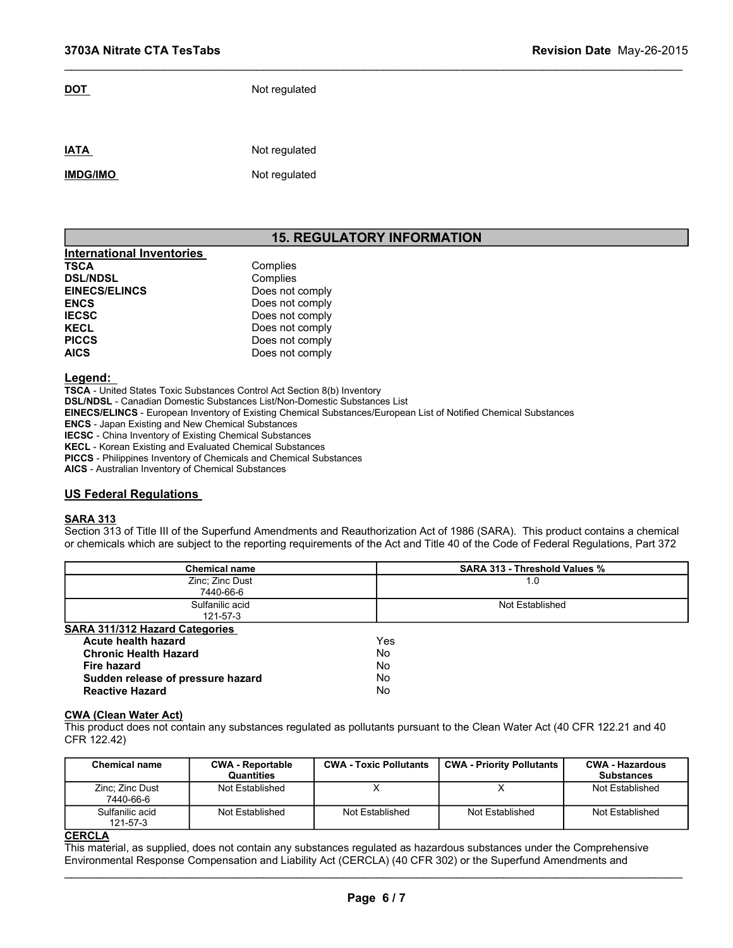\_\_\_\_\_\_\_\_\_\_\_\_\_\_\_\_\_\_\_\_\_\_\_\_\_\_\_\_\_\_\_\_\_\_\_\_\_\_\_\_\_\_\_\_\_\_\_\_\_\_\_\_\_\_\_\_\_\_\_\_\_\_\_\_\_\_\_\_\_\_\_\_\_\_\_\_\_\_\_\_\_\_\_\_\_\_\_\_\_\_\_\_\_

DOT Not regulated

| <b>IATA</b><br>____ | Not regulated |
|---------------------|---------------|
| <b>IMDG/IMO</b>     | Not regulated |

## 15. REGULATORY INFORMATION

| International Inventories |                 |
|---------------------------|-----------------|
| <b>TSCA</b>               | Complies        |
| <b>DSL/NDSL</b>           | Complies        |
| <b>EINECS/ELINCS</b>      | Does not comply |
| <b>ENCS</b>               | Does not comply |
| <b>IECSC</b>              | Does not comply |
| <b>KECL</b>               | Does not comply |
| <b>PICCS</b>              | Does not comply |
| <b>AICS</b>               | Does not comply |

### Legend:

## US Federal Regulations

## SARA 313

| <b>TSCA</b><br>Complies<br>Complies<br><b>DSL/NDSL</b><br>Does not comply<br>Does not comply<br>Does not comply<br>Does not comply<br>Does not comply<br>Does not comply<br>SARA 313 - Threshold Values %<br><b>Chemical name</b><br>Zinc; Zinc Dust<br>1.0<br>7440-66-6<br>Sulfanilic acid<br>Not Established<br>121-57-3<br>Yes<br>Acute health hazard<br>No<br><b>Chronic Health Hazard</b><br><b>Fire hazard</b><br>No.<br>No<br>Sudden release of pressure hazard<br>No<br><b>Reactive Hazard</b><br><b>CWA - Priority Pollutants</b><br><b>CWA - Reportable</b><br><b>CWA - Toxic Pollutants</b><br><b>CWA - Hazardous</b><br><b>Chemical name</b><br>Quantities<br><b>Substances</b><br>X<br>Zinc; Zinc Dust<br>Χ<br>Not Established<br>Not Established<br>7440-66-6<br>Sulfanilic acid<br>Not Established<br>Not Established<br>Not Established<br>Not Established<br>121-57-3<br>Page 6/7                                                           | m |  |  |  |
|--------------------------------------------------------------------------------------------------------------------------------------------------------------------------------------------------------------------------------------------------------------------------------------------------------------------------------------------------------------------------------------------------------------------------------------------------------------------------------------------------------------------------------------------------------------------------------------------------------------------------------------------------------------------------------------------------------------------------------------------------------------------------------------------------------------------------------------------------------------------------------------------------------------------------------------------------------------|---|--|--|--|
| <b>EINECS/ELINCS</b>                                                                                                                                                                                                                                                                                                                                                                                                                                                                                                                                                                                                                                                                                                                                                                                                                                                                                                                                         |   |  |  |  |
| <b>ENCS</b><br><b>KECL</b><br><b>PICCS</b><br><b>AICS</b><br>Legend:<br>TSCA - United States Toxic Substances Control Act Section 8(b) Inventory<br><b>DSL/NDSL</b> - Canadian Domestic Substances List/Non-Domestic Substances List<br>EINECS/ELINCS - European Inventory of Existing Chemical Substances/European List of Notified Chemical Substances<br><b>KECL</b> - Korean Existing and Evaluated Chemical Substances<br>PICCS - Philippines Inventory of Chemicals and Chemical Substances<br>AICS - Australian Inventory of Chemical Substances<br><b>US Federal Regulations</b><br><b>SARA 313</b><br><b>SARA 311/312 Hazard Categories</b><br><b>CWA (Clean Water Act)</b><br>CFR 122.42)<br><b>CERCLA</b><br>This material, as supplied, does not contain any substances regulated as hazardous substances under the Comprehensive<br>Environmental Response Compensation and Liability Act (CERCLA) (40 CFR 302) or the Superfund Amendments and |   |  |  |  |
| <b>IECSC</b><br><b>ENCS</b> - Japan Existing and New Chemical Substances<br><b>IECSC</b> - China Inventory of Existing Chemical Substances<br>This product does not contain any substances regulated as pollutants pursuant to the Clean Water Act (40 CFR 122.21 and 40                                                                                                                                                                                                                                                                                                                                                                                                                                                                                                                                                                                                                                                                                     |   |  |  |  |
|                                                                                                                                                                                                                                                                                                                                                                                                                                                                                                                                                                                                                                                                                                                                                                                                                                                                                                                                                              |   |  |  |  |
| or chemicals which are subject to the reporting requirements of the Act and Title 40 of the Code of Federal Regulations, Part 372                                                                                                                                                                                                                                                                                                                                                                                                                                                                                                                                                                                                                                                                                                                                                                                                                            |   |  |  |  |
| Section 313 of Title III of the Superfund Amendments and Reauthorization Act of 1986 (SARA). This product contains a chemical                                                                                                                                                                                                                                                                                                                                                                                                                                                                                                                                                                                                                                                                                                                                                                                                                                |   |  |  |  |
|                                                                                                                                                                                                                                                                                                                                                                                                                                                                                                                                                                                                                                                                                                                                                                                                                                                                                                                                                              |   |  |  |  |
|                                                                                                                                                                                                                                                                                                                                                                                                                                                                                                                                                                                                                                                                                                                                                                                                                                                                                                                                                              |   |  |  |  |
|                                                                                                                                                                                                                                                                                                                                                                                                                                                                                                                                                                                                                                                                                                                                                                                                                                                                                                                                                              |   |  |  |  |
|                                                                                                                                                                                                                                                                                                                                                                                                                                                                                                                                                                                                                                                                                                                                                                                                                                                                                                                                                              |   |  |  |  |
|                                                                                                                                                                                                                                                                                                                                                                                                                                                                                                                                                                                                                                                                                                                                                                                                                                                                                                                                                              |   |  |  |  |
|                                                                                                                                                                                                                                                                                                                                                                                                                                                                                                                                                                                                                                                                                                                                                                                                                                                                                                                                                              |   |  |  |  |
|                                                                                                                                                                                                                                                                                                                                                                                                                                                                                                                                                                                                                                                                                                                                                                                                                                                                                                                                                              |   |  |  |  |
|                                                                                                                                                                                                                                                                                                                                                                                                                                                                                                                                                                                                                                                                                                                                                                                                                                                                                                                                                              |   |  |  |  |
|                                                                                                                                                                                                                                                                                                                                                                                                                                                                                                                                                                                                                                                                                                                                                                                                                                                                                                                                                              |   |  |  |  |
|                                                                                                                                                                                                                                                                                                                                                                                                                                                                                                                                                                                                                                                                                                                                                                                                                                                                                                                                                              |   |  |  |  |
|                                                                                                                                                                                                                                                                                                                                                                                                                                                                                                                                                                                                                                                                                                                                                                                                                                                                                                                                                              |   |  |  |  |
|                                                                                                                                                                                                                                                                                                                                                                                                                                                                                                                                                                                                                                                                                                                                                                                                                                                                                                                                                              |   |  |  |  |
|                                                                                                                                                                                                                                                                                                                                                                                                                                                                                                                                                                                                                                                                                                                                                                                                                                                                                                                                                              |   |  |  |  |
|                                                                                                                                                                                                                                                                                                                                                                                                                                                                                                                                                                                                                                                                                                                                                                                                                                                                                                                                                              |   |  |  |  |
|                                                                                                                                                                                                                                                                                                                                                                                                                                                                                                                                                                                                                                                                                                                                                                                                                                                                                                                                                              |   |  |  |  |
|                                                                                                                                                                                                                                                                                                                                                                                                                                                                                                                                                                                                                                                                                                                                                                                                                                                                                                                                                              |   |  |  |  |
|                                                                                                                                                                                                                                                                                                                                                                                                                                                                                                                                                                                                                                                                                                                                                                                                                                                                                                                                                              |   |  |  |  |
|                                                                                                                                                                                                                                                                                                                                                                                                                                                                                                                                                                                                                                                                                                                                                                                                                                                                                                                                                              |   |  |  |  |
|                                                                                                                                                                                                                                                                                                                                                                                                                                                                                                                                                                                                                                                                                                                                                                                                                                                                                                                                                              |   |  |  |  |
|                                                                                                                                                                                                                                                                                                                                                                                                                                                                                                                                                                                                                                                                                                                                                                                                                                                                                                                                                              |   |  |  |  |

## CWA (Clean Water Act)

| <b>Chemical name</b>         | <b>CWA - Reportable</b><br>Quantities | <b>CWA - Toxic Pollutants</b> | <b>CWA - Priority Pollutants</b> | <b>CWA - Hazardous</b><br><b>Substances</b> |
|------------------------------|---------------------------------------|-------------------------------|----------------------------------|---------------------------------------------|
| Zinc; Zinc Dust<br>7440-66-6 | Not Established                       |                               |                                  | Not Established                             |
| Sulfanilic acid<br>121-57-3  | Not Established                       | Not Established               | Not Established                  | Not Established                             |

### **CERCLA**